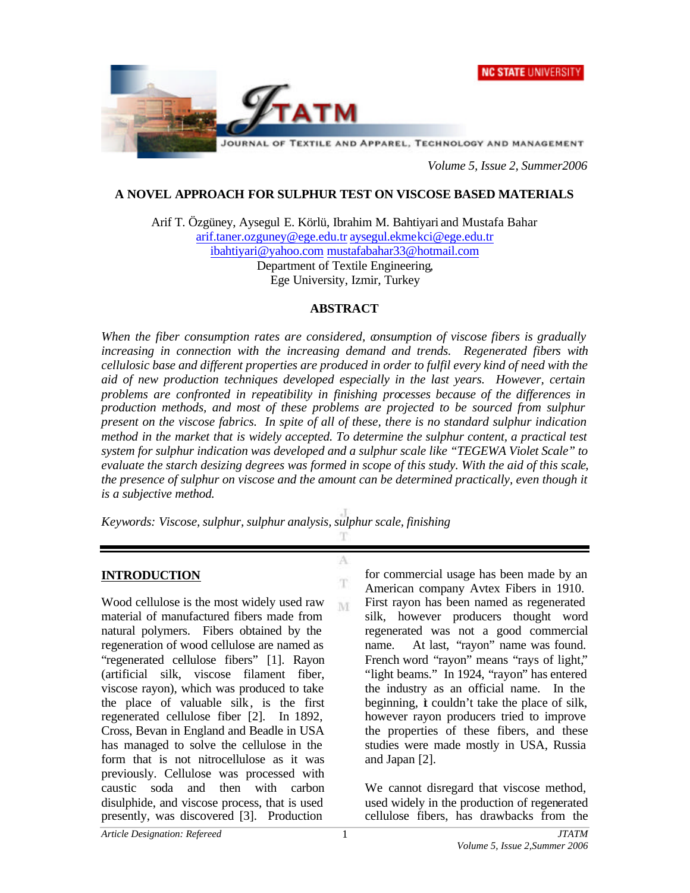



*Volume 5, Issue 2, Summer2006*

### **A NOVEL APPROACH FOR SULPHUR TEST ON VISCOSE BASED MATERIALS**

Arif T. Özgüney, Aysegul E. Körlü, Ibrahim M. Bahtiyari and Mustafa Bahar arif.taner.ozguney@ege.edu.tr aysegul.ekmekci@ege.edu.tr ibahtiyari@yahoo.com mustafabahar33@hotmail.com Department of Textile Engineering, Ege University, Izmir, Turkey

#### **ABSTRACT**

*When the fiber consumption rates are considered, consumption of viscose fibers is gradually increasing in connection with the increasing demand and trends. Regenerated fibers with cellulosic base and different properties are produced in order to fulfil every kind of need with the aid of new production techniques developed especially in the last years. However, certain problems are confronted in repeatibility in finishing processes because of the differences in production methods, and most of these problems are projected to be sourced from sulphur present on the viscose fabrics. In spite of all of these, there is no standard sulphur indication method in the market that is widely accepted. To determine the sulphur content, a practical test system for sulphur indication was developed and a sulphur scale like "TEGEWA Violet Scale" to evaluate the starch desizing degrees was formed in scope of this study. With the aid of this scale, the presence of sulphur on viscose and the amount can be determined practically, even though it is a subjective method.* 

A

T M

*Keywords: Viscose, sulphur, sulphur analysis, sulphur scale, finishing*

#### **INTRODUCTION**

Wood cellulose is the most widely used raw material of manufactured fibers made from natural polymers. Fibers obtained by the regeneration of wood cellulose are named as "regenerated cellulose fibers" [1]. Rayon (artificial silk, viscose filament fiber, viscose rayon), which was produced to take the place of valuable silk, is the first regenerated cellulose fiber [2]. In 1892, Cross, Bevan in England and Beadle in USA has managed to solve the cellulose in the form that is not nitrocellulose as it was previously. Cellulose was processed with caustic soda and then with carbon disulphide, and viscose process, that is used presently, was discovered [3]. Production

for commercial usage has been made by an American company Avtex Fibers in 1910. First rayon has been named as regenerated silk, however producers thought word regenerated was not a good commercial name. At last, "rayon" name was found. French word "rayon" means "rays of light," "light beams." In 1924, "rayon" has entered the industry as an official name. In the beginning, *i* couldn't take the place of silk. however rayon producers tried to improve the properties of these fibers, and these studies were made mostly in USA, Russia and Japan [2].

We cannot disregard that viscose method, used widely in the production of regenerated cellulose fibers, has drawbacks from the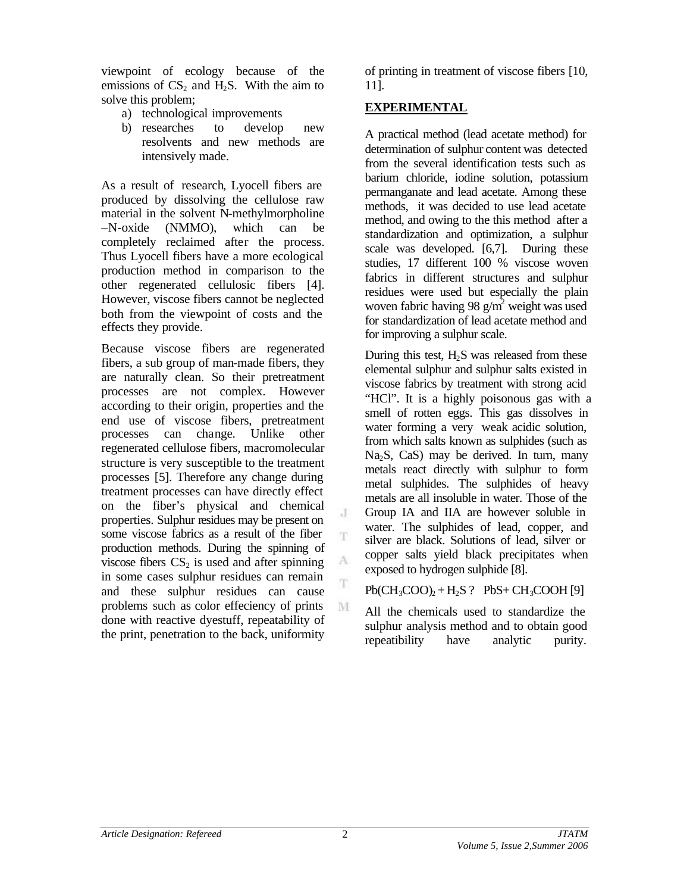viewpoint of ecology because of the emissions of  $CS_2$  and H<sub>2</sub>S. With the aim to solve this problem;

- a) technological improvements
- b) researches to develop new resolvents and new methods are intensively made.

As a result of research, Lyocell fibers are produced by dissolving the cellulose raw material in the solvent N-methylmorpholine –N-oxide (NMMO), which can be completely reclaimed after the process. Thus Lyocell fibers have a more ecological production method in comparison to the other regenerated cellulosic fibers [4]. However, viscose fibers cannot be neglected both from the viewpoint of costs and the effects they provide.

Because viscose fibers are regenerated fibers, a sub group of man-made fibers, they are naturally clean. So their pretreatment processes are not complex. However according to their origin, properties and the end use of viscose fibers, pretreatment processes can change. Unlike other regenerated cellulose fibers, macromolecular structure is very susceptible to the treatment processes [5]. Therefore any change during treatment processes can have directly effect on the fiber's physical and chemical properties. Sulphur residues may be present on some viscose fabrics as a result of the fiber production methods. During the spinning of viscose fibers  $CS_2$  is used and after spinning in some cases sulphur residues can remain and these sulphur residues can cause problems such as color effeciency of prints done with reactive dyestuff, repeatability of the print, penetration to the back, uniformity

of printing in treatment of viscose fibers [10, 11].

## **EXPERIMENTAL**

A practical method (lead acetate method) for determination of sulphur content was detected from the several identification tests such as barium chloride, iodine solution, potassium permanganate and lead acetate. Among these methods, it was decided to use lead acetate method, and owing to the this method after a standardization and optimization, a sulphur scale was developed. [6,7]. During these studies, 17 different 100 % viscose woven fabrics in different structures and sulphur residues were used but especially the plain woven fabric having 98  $g/m^2$  weight was used for standardization of lead acetate method and for improving a sulphur scale.

During this test,  $H_2S$  was released from these elemental sulphur and sulphur salts existed in viscose fabrics by treatment with strong acid "HCl". It is a highly poisonous gas with a smell of rotten eggs. This gas dissolves in water forming a very weak acidic solution, from which salts known as sulphides (such as  $Na<sub>2</sub>S$ , CaS) may be derived. In turn, many metals react directly with sulphur to form metal sulphides. The sulphides of heavy metals are all insoluble in water. Those of the Group IA and IIA are however soluble in water. The sulphides of lead, copper, and silver are black. Solutions of lead, silver or copper salts yield black precipitates when exposed to hydrogen sulphide [8].

### $Pb(CH_3COO)_2 + H_2S$ ?  $PbS + CH_3COOH$  [9]

All the chemicals used to standardize the sulphur analysis method and to obtain good repeatibility have analytic purity.

J

T.

A

T

M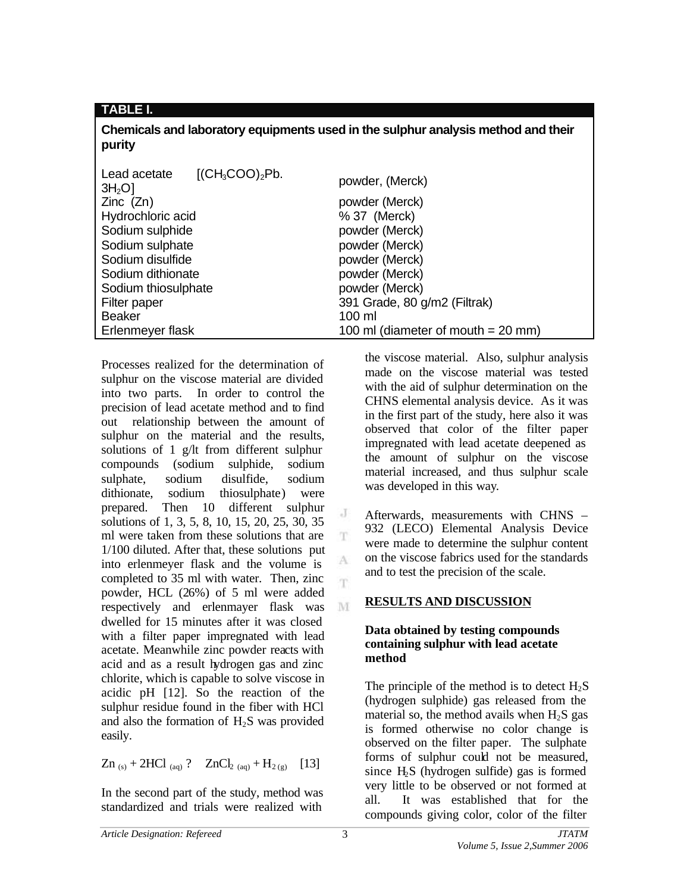## **TABLE I.**

**Chemicals and laboratory equipments used in the sulphur analysis method and their purity**

| Lead acetate<br>[(CH <sub>3</sub> COO) <sub>2</sub> Pb.<br>3H <sub>2</sub> O | powder, (Merck)                      |
|------------------------------------------------------------------------------|--------------------------------------|
| $Zinc$ $(Zn)$                                                                | powder (Merck)                       |
| Hydrochloric acid                                                            | % 37 (Merck)                         |
| Sodium sulphide                                                              | powder (Merck)                       |
| Sodium sulphate                                                              | powder (Merck)                       |
| Sodium disulfide                                                             | powder (Merck)                       |
| Sodium dithionate                                                            | powder (Merck)                       |
| Sodium thiosulphate                                                          | powder (Merck)                       |
| Filter paper                                                                 | 391 Grade, 80 g/m2 (Filtrak)         |
| <b>Beaker</b>                                                                | $100 \mathrm{m}$                     |
| Erlenmeyer flask                                                             | 100 ml (diameter of mouth $= 20$ mm) |

J

T.

A T.

M

Processes realized for the determination of sulphur on the viscose material are divided into two parts. In order to control the precision of lead acetate method and to find out relationship between the amount of sulphur on the material and the results, solutions of 1 g/lt from different sulphur compounds (sodium sulphide, sodium sulphate, sodium disulfide, sodium dithionate, sodium thiosulphate) were prepared. Then 10 different sulphur solutions of 1, 3, 5, 8, 10, 15, 20, 25, 30, 35 ml were taken from these solutions that are 1/100 diluted. After that, these solutions put into erlenmeyer flask and the volume is completed to 35 ml with water. Then, zinc powder, HCL (26%) of 5 ml were added respectively and erlenmayer flask was dwelled for 15 minutes after it was closed with a filter paper impregnated with lead acetate. Meanwhile zinc powder reacts with acid and as a result hydrogen gas and zinc chlorite, which is capable to solve viscose in acidic pH [12]. So the reaction of the sulphur residue found in the fiber with HCl and also the formation of  $H_2S$  was provided easily.

$$
Zn_{(s)} + 2HCl_{(aq)} ? \quad ZnCl_{2(aq)} + H_{2(g)} \quad [13]
$$

In the second part of the study, method was standardized and trials were realized with the viscose material. Also, sulphur analysis made on the viscose material was tested with the aid of sulphur determination on the CHNS elemental analysis device. As it was in the first part of the study, here also it was observed that color of the filter paper impregnated with lead acetate deepened as the amount of sulphur on the viscose material increased, and thus sulphur scale was developed in this way.

Afterwards, measurements with CHNS – 932 (LECO) Elemental Analysis Device were made to determine the sulphur content on the viscose fabrics used for the standards and to test the precision of the scale.

# **RESULTS AND DISCUSSION**

## **Data obtained by testing compounds containing sulphur with lead acetate method**

The principle of the method is to detect  $H_2S$ (hydrogen sulphide) gas released from the material so, the method avails when  $H<sub>2</sub>S$  gas is formed otherwise no color change is observed on the filter paper. The sulphate forms of sulphur could not be measured, since  $H<sub>2</sub>S$  (hydrogen sulfide) gas is formed very little to be observed or not formed at all. It was established that for the compounds giving color, color of the filter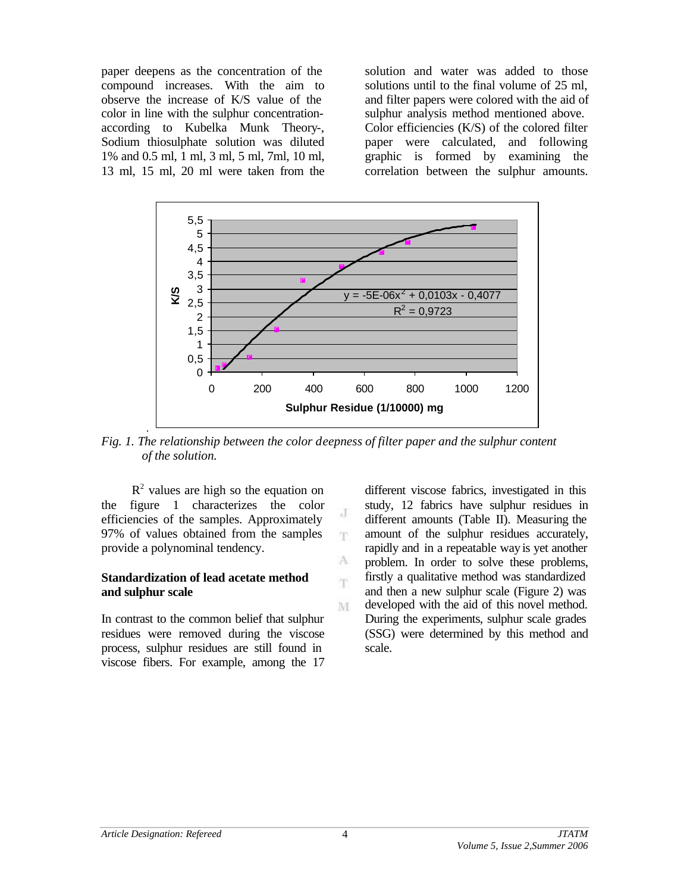paper deepens as the concentration of the compound increases. With the aim to observe the increase of K/S value of the color in line with the sulphur concentrationaccording to Kubelka Munk Theory-, Sodium thiosulphate solution was diluted 1% and 0.5 ml, 1 ml, 3 ml, 5 ml, 7ml, 10 ml, 13 ml, 15 ml, 20 ml were taken from the

solution and water was added to those solutions until to the final volume of 25 ml, and filter papers were colored with the aid of sulphur analysis method mentioned above. Color efficiencies (K/S) of the colored filter paper were calculated, and following graphic is formed by examining the correlation between the sulphur amounts.



*Fig. 1. The relationship between the color deepness of filter paper and the sulphur content of the solution.*

J T

A 'n

M

 $R<sup>2</sup>$  values are high so the equation on the figure 1 characterizes the color efficiencies of the samples. Approximately 97% of values obtained from the samples provide a polynominal tendency.

#### **Standardization of lead acetate method and sulphur scale**

In contrast to the common belief that sulphur residues were removed during the viscose process, sulphur residues are still found in viscose fibers. For example, among the 17

different viscose fabrics, investigated in this study, 12 fabrics have sulphur residues in different amounts (Table II). Measuring the amount of the sulphur residues accurately, rapidly and in a repeatable way is yet another problem. In order to solve these problems, firstly a qualitative method was standardized and then a new sulphur scale (Figure 2) was developed with the aid of this novel method. During the experiments, sulphur scale grades (SSG) were determined by this method and scale.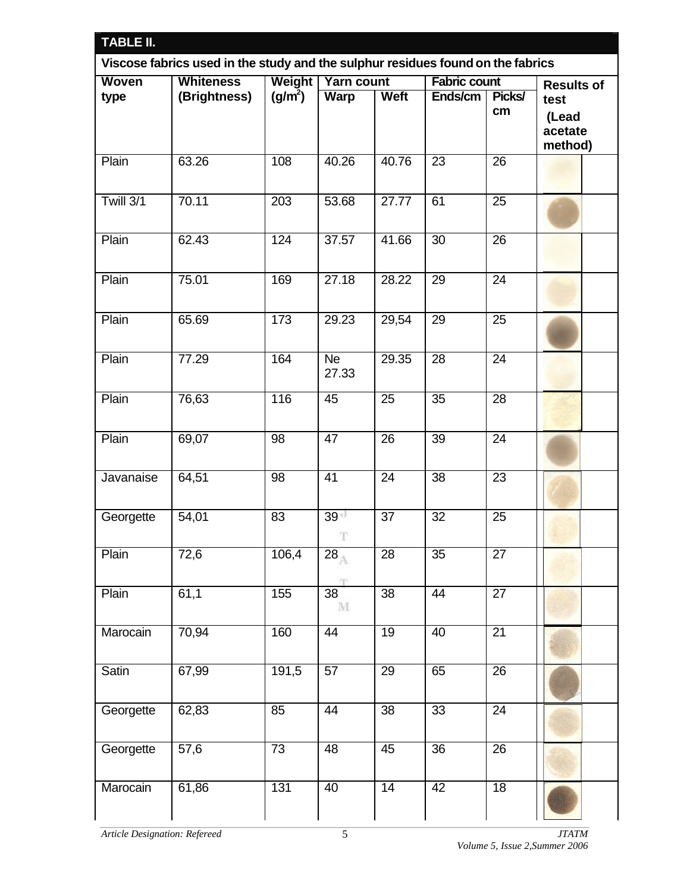| <b>TABLE II.</b><br>Viscose fabrics used in the study and the sulphur residues found on the fabrics |              |                  |                                 |                 |                 |                 |  |  |  |
|-----------------------------------------------------------------------------------------------------|--------------|------------------|---------------------------------|-----------------|-----------------|-----------------|--|--|--|
|                                                                                                     |              |                  |                                 |                 |                 |                 |  |  |  |
| type                                                                                                | (Brightness) | $(g/m^2)$        | <b>Warp</b>                     | <b>Weft</b>     | Ends/cm         | Picks/<br>cm    |  |  |  |
| Plain                                                                                               | 63.26        | 108              | 40.26                           | 40.76           | $\overline{23}$ | $\overline{26}$ |  |  |  |
| Twill 3/1                                                                                           | 70.11        | $\overline{203}$ | 53.68                           | 27.77           | 61              | $\overline{25}$ |  |  |  |
| Plain                                                                                               | 62.43        | 124              | 37.57                           | 41.66           | $\overline{30}$ | $\overline{26}$ |  |  |  |
| Plain                                                                                               | 75.01        | 169              | 27.18                           | 28.22           | 29              | $\overline{24}$ |  |  |  |
| Plain                                                                                               | 65.69        | 173              | 29.23                           | 29,54           | $\overline{29}$ | $\overline{25}$ |  |  |  |
| Plain                                                                                               | 77.29        | 164              | <b>Ne</b><br>27.33              | 29.35           | $\overline{28}$ | $\overline{24}$ |  |  |  |
| Plain                                                                                               | 76,63        | 116              | 45                              | 25              | 35              | 28              |  |  |  |
| Plain                                                                                               | 69,07        | 98               | 47                              | 26              | 39              | $\overline{24}$ |  |  |  |
| Javanaise                                                                                           | 64,51        | 98               | $\overline{41}$                 | $\overline{24}$ | $\overline{38}$ | $\overline{23}$ |  |  |  |
| Georgette                                                                                           | 54,01        | 83               | 39 <sup>1</sup><br>T            | 37              | $\overline{32}$ | $\overline{25}$ |  |  |  |
| Plain                                                                                               | 72,6         | 106,4            | $\overline{28}_\mathbb{A}$      | 28              | 35              | $\overline{27}$ |  |  |  |
| Plain                                                                                               | 61,1         | 155              | $\overline{38}$<br>$\mathbf{M}$ | $\overline{38}$ | $\overline{44}$ | $\overline{27}$ |  |  |  |
| Marocain                                                                                            | 70,94        | 160              | 44                              | 19              | $\overline{40}$ | $\overline{21}$ |  |  |  |
| Satin                                                                                               | 67,99        | 191,5            | 57                              | $\overline{29}$ | 65              | $\overline{26}$ |  |  |  |
| Georgette                                                                                           | 62,83        | 85               | 44                              | $\overline{38}$ | $\overline{33}$ | $\overline{24}$ |  |  |  |
| Georgette                                                                                           | 57,6         | $\overline{73}$  | 48                              | 45              | $\overline{36}$ | $\overline{26}$ |  |  |  |
| Marocain                                                                                            | 61,86        | 131              | 40                              | 14              | 42              | 18              |  |  |  |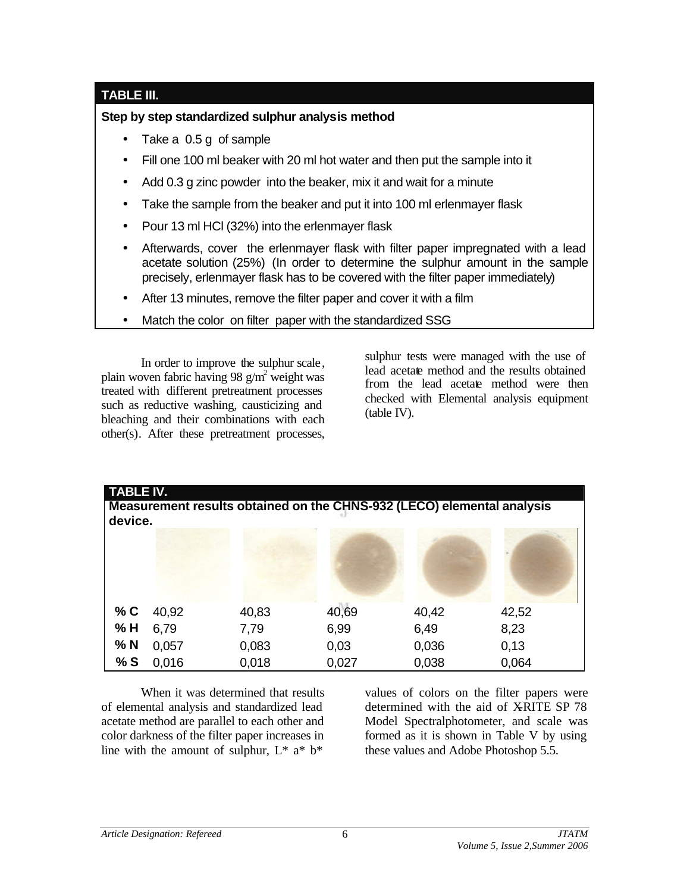# **TABLE III.**

## **Step by step standardized sulphur analysis method**

- Take a 0.5 g of sample
- Fill one 100 ml beaker with 20 ml hot water and then put the sample into it
- Add 0.3 g zinc powder into the beaker, mix it and wait for a minute
- Take the sample from the beaker and put it into 100 ml erlenmayer flask
- Pour 13 ml HCl (32%) into the erlenmayer flask
- Afterwards, cover the erlenmayer flask with filter paper impregnated with a lead acetate solution (25%) (In order to determine the sulphur amount in the sample precisely, erlenmayer flask has to be covered with the filter paper immediately)
- After 13 minutes, remove the filter paper and cover it with a film
- Match the color on filter paper with the standardized SSG

In order to improve the sulphur scale, plain woven fabric having 98  $g/m^2$  weight was treated with different pretreatment processes such as reductive washing, causticizing and bleaching and their combinations with each other(s). After these pretreatment processes, sulphur tests were managed with the use of lead acetate method and the results obtained from the lead acetate method were then checked with Elemental analysis equipment (table IV).

| <b>TABLE IV.</b><br>Measurement results obtained on the CHNS-932 (LECO) elemental analysis<br>device. |       |       |       |       |       |  |  |  |  |
|-------------------------------------------------------------------------------------------------------|-------|-------|-------|-------|-------|--|--|--|--|
|                                                                                                       |       |       |       |       |       |  |  |  |  |
|                                                                                                       |       |       |       |       |       |  |  |  |  |
| % C                                                                                                   | 40,92 | 40,83 | 40,69 | 40,42 | 42,52 |  |  |  |  |
| % H                                                                                                   | 6,79  | 7,79  | 6,99  | 6,49  | 8,23  |  |  |  |  |
| $%$ N                                                                                                 | 0,057 | 0,083 | 0,03  | 0,036 | 0,13  |  |  |  |  |
| %S                                                                                                    | 0,016 | 0,018 | 0,027 | 0,038 | 0,064 |  |  |  |  |

When it was determined that results of elemental analysis and standardized lead acetate method are parallel to each other and color darkness of the filter paper increases in line with the amount of sulphur,  $L^*$  a<sup>\*</sup> b<sup>\*</sup>

values of colors on the filter papers were determined with the aid of XRITE SP 78 Model Spectralphotometer, and scale was formed as it is shown in Table V by using these values and Adobe Photoshop 5.5.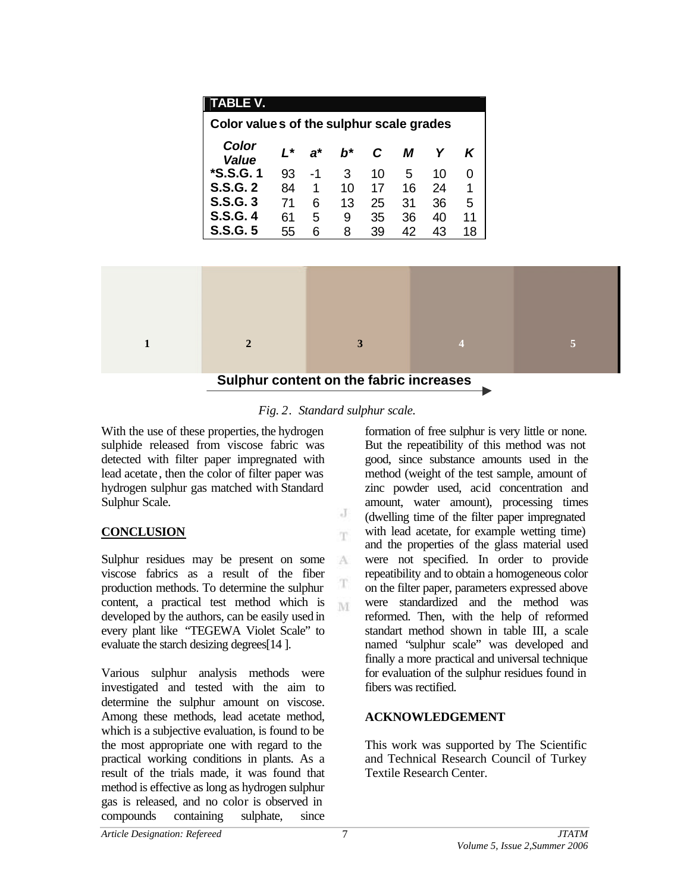|              | <b>TABLE V.</b>                          |       |              |                 |                 |    |                 |                         |   |
|--------------|------------------------------------------|-------|--------------|-----------------|-----------------|----|-----------------|-------------------------|---|
|              | Color values of the sulphur scale grades |       |              |                 |                 |    |                 |                         |   |
|              | <b>Color</b><br><b>Value</b>             | $L^*$ | $a^*$        | $b^*$           | C               | M  | Υ               | K                       |   |
|              | <i><b>*S.S.G.1</b></i>                   | 93    | $-1$         | 3 <sup>7</sup>  | 10 <sup>°</sup> | 5  | 10 <sup>°</sup> | 0                       |   |
|              | <b>S.S.G. 2</b>                          | 84    | $\mathbf{1}$ | 10 <sup>°</sup> | 17              | 16 | 24              | 1                       |   |
|              | <b>S.S.G. 3</b>                          | 71    | 6            | 13 <sup>7</sup> | 25              | 31 | 36              | 5                       |   |
|              | <b>S.S.G. 4</b>                          | 61    | 5            | 9               | 35              | 36 | 40              | 11                      |   |
|              | <b>S.S.G. 5</b>                          | 55    | 6            | 8               | 39              | 42 | 43              | 18                      |   |
|              |                                          |       |              |                 |                 |    |                 |                         |   |
|              |                                          |       |              |                 |                 |    |                 |                         |   |
|              |                                          |       |              |                 |                 |    |                 |                         |   |
|              |                                          |       |              |                 |                 |    |                 |                         |   |
| $\mathbf{1}$ | $\overline{2}$                           |       |              | 3               |                 |    |                 | $\overline{\mathbf{4}}$ | 5 |
|              |                                          |       |              |                 |                 |    |                 |                         |   |
|              | Sulphur content on the fabric increases  |       |              |                 |                 |    |                 |                         |   |



J T.

A

M

With the use of these properties, the hydrogen sulphide released from viscose fabric was detected with filter paper impregnated with lead acetate, then the color of filter paper was hydrogen sulphur gas matched with Standard Sulphur Scale.

## **CONCLUSION**

Sulphur residues may be present on some viscose fabrics as a result of the fiber production methods. To determine the sulphur content, a practical test method which is developed by the authors, can be easily used in every plant like "TEGEWA Violet Scale" to evaluate the starch desizing degrees[14 ].

Various sulphur analysis methods were investigated and tested with the aim to determine the sulphur amount on viscose. Among these methods, lead acetate method, which is a subjective evaluation, is found to be the most appropriate one with regard to the practical working conditions in plants. As a result of the trials made, it was found that method is effective as long as hydrogen sulphur gas is released, and no color is observed in compounds containing sulphate, since

formation of free sulphur is very little or none. But the repeatibility of this method was not good, since substance amounts used in the method (weight of the test sample, amount of zinc powder used, acid concentration and amount, water amount), processing times (dwelling time of the filter paper impregnated with lead acetate, for example wetting time) and the properties of the glass material used were not specified. In order to provide repeatibility and to obtain a homogeneous color on the filter paper, parameters expressed above were standardized and the method was reformed. Then, with the help of reformed standart method shown in table III, a scale named "sulphur scale" was developed and finally a more practical and universal technique for evaluation of the sulphur residues found in fibers was rectified.

# **ACKNOWLEDGEMENT**

This work was supported by The Scientific and Technical Research Council of Turkey Textile Research Center.